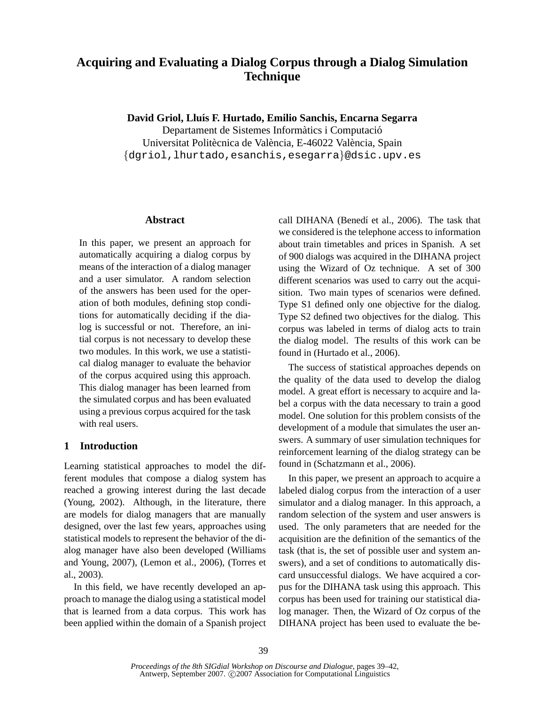# **Acquiring and Evaluating a Dialog Corpus through a Dialog Simulation Technique**

**David Griol, Llu´ıs F. Hurtado, Emilio Sanchis, Encarna Segarra**

Departament de Sistemes Informàtics i Computació Universitat Politècnica de València, E-46022 València, Spain {dgriol,lhurtado,esanchis,esegarra}@dsic.upv.es

# **Abstract**

In this paper, we present an approach for automatically acquiring a dialog corpus by means of the interaction of a dialog manager and a user simulator. A random selection of the answers has been used for the operation of both modules, defining stop conditions for automatically deciding if the dialog is successful or not. Therefore, an initial corpus is not necessary to develop these two modules. In this work, we use a statistical dialog manager to evaluate the behavior of the corpus acquired using this approach. This dialog manager has been learned from the simulated corpus and has been evaluated using a previous corpus acquired for the task with real users.

# **1 Introduction**

Learning statistical approaches to model the different modules that compose a dialog system has reached a growing interest during the last decade (Young, 2002). Although, in the literature, there are models for dialog managers that are manually designed, over the last few years, approaches using statistical models to represent the behavior of the dialog manager have also been developed (Williams and Young, 2007), (Lemon et al., 2006), (Torres et al., 2003).

In this field, we have recently developed an approach to manage the dialog using a statistical model that is learned from a data corpus. This work has been applied within the domain of a Spanish project call DIHANA (Benedí et al., 2006). The task that we considered is the telephone access to information about train timetables and prices in Spanish. A set of 900 dialogs was acquired in the DIHANA project using the Wizard of Oz technique. A set of 300 different scenarios was used to carry out the acquisition. Two main types of scenarios were defined. Type S1 defined only one objective for the dialog. Type S2 defined two objectives for the dialog. This corpus was labeled in terms of dialog acts to train the dialog model. The results of this work can be found in (Hurtado et al., 2006).

The success of statistical approaches depends on the quality of the data used to develop the dialog model. A great effort is necessary to acquire and label a corpus with the data necessary to train a good model. One solution for this problem consists of the development of a module that simulates the user answers. A summary of user simulation techniques for reinforcement learning of the dialog strategy can be found in (Schatzmann et al., 2006).

In this paper, we present an approach to acquire a labeled dialog corpus from the interaction of a user simulator and a dialog manager. In this approach, a random selection of the system and user answers is used. The only parameters that are needed for the acquisition are the definition of the semantics of the task (that is, the set of possible user and system answers), and a set of conditions to automatically discard unsuccessful dialogs. We have acquired a corpus for the DIHANA task using this approach. This corpus has been used for training our statistical dialog manager. Then, the Wizard of Oz corpus of the DIHANA project has been used to evaluate the be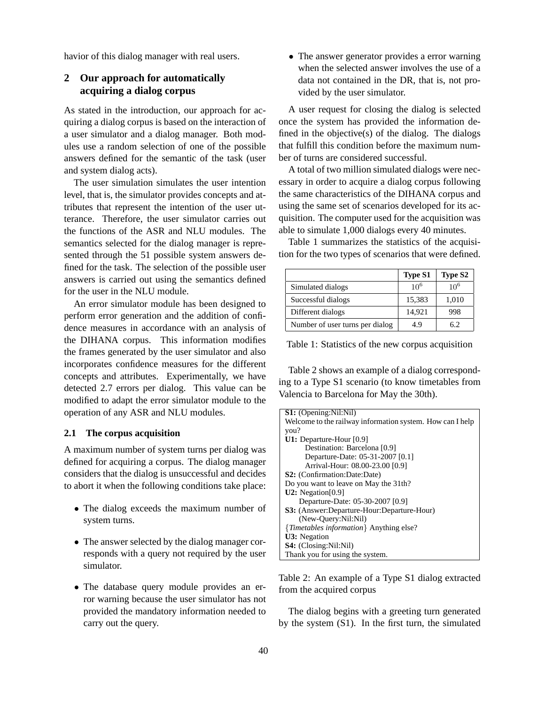havior of this dialog manager with real users.

# **2 Our approach for automatically acquiring a dialog corpus**

As stated in the introduction, our approach for acquiring a dialog corpus is based on the interaction of a user simulator and a dialog manager. Both modules use a random selection of one of the possible answers defined for the semantic of the task (user and system dialog acts).

The user simulation simulates the user intention level, that is, the simulator provides concepts and attributes that represent the intention of the user utterance. Therefore, the user simulator carries out the functions of the ASR and NLU modules. The semantics selected for the dialog manager is represented through the 51 possible system answers defined for the task. The selection of the possible user answers is carried out using the semantics defined for the user in the NLU module.

An error simulator module has been designed to perform error generation and the addition of confidence measures in accordance with an analysis of the DIHANA corpus. This information modifies the frames generated by the user simulator and also incorporates confidence measures for the different concepts and attributes. Experimentally, we have detected 2.7 errors per dialog. This value can be modified to adapt the error simulator module to the operation of any ASR and NLU modules.

# **2.1 The corpus acquisition**

A maximum number of system turns per dialog was defined for acquiring a corpus. The dialog manager considers that the dialog is unsuccessful and decides to abort it when the following conditions take place:

- The dialog exceeds the maximum number of system turns.
- The answer selected by the dialog manager corresponds with a query not required by the user simulator.
- The database query module provides an error warning because the user simulator has not provided the mandatory information needed to carry out the query.

• The answer generator provides a error warning when the selected answer involves the use of a data not contained in the DR, that is, not provided by the user simulator.

A user request for closing the dialog is selected once the system has provided the information defined in the objective(s) of the dialog. The dialogs that fulfill this condition before the maximum number of turns are considered successful.

A total of two million simulated dialogs were necessary in order to acquire a dialog corpus following the same characteristics of the DIHANA corpus and using the same set of scenarios developed for its acquisition. The computer used for the acquisition was able to simulate 1,000 dialogs every 40 minutes.

Table 1 summarizes the statistics of the acquisition for the two types of scenarios that were defined.

|                                 | <b>Type S1</b> | <b>Type S2</b> |
|---------------------------------|----------------|----------------|
| Simulated dialogs               | $10^{6}$       | $10^{6}$       |
| Successful dialogs              | 15,383         | 1,010          |
| Different dialogs               | 14,921         | 998            |
| Number of user turns per dialog | 4.9            | 6.2            |

| Table 1: Statistics of the new corpus acquisition |  |
|---------------------------------------------------|--|
|---------------------------------------------------|--|

Table 2 shows an example of a dialog corresponding to a Type S1 scenario (to know timetables from Valencia to Barcelona for May the 30th).

| <b>S1:</b> (Opening:Nil:Nil)                              |
|-----------------------------------------------------------|
| Welcome to the railway information system. How can I help |
| you?                                                      |
| U1: Departure-Hour $[0.9]$                                |
| Destination: Barcelona [0.9]                              |
| Departure-Date: 05-31-2007 [0.1]                          |
| Arrival-Hour: 08.00-23.00 [0.9]                           |
| <b>S2:</b> (Confirmation:Date:Date)                       |
| Do you want to leave on May the 31th?                     |
| $U2$ : Negation $[0.9]$                                   |
| Departure-Date: 05-30-2007 [0.9]                          |
| S3: (Answer:Departure-Hour:Departure-Hour)                |
| (New-Ouery:Nil:Nil)                                       |
| {Timetables information} Anything else?                   |
| <b>U3</b> : Negation                                      |
| <b>S4:</b> (Closing:Nil:Nil)                              |
| Thank you for using the system.                           |

Table 2: An example of a Type S1 dialog extracted from the acquired corpus

The dialog begins with a greeting turn generated by the system (S1). In the first turn, the simulated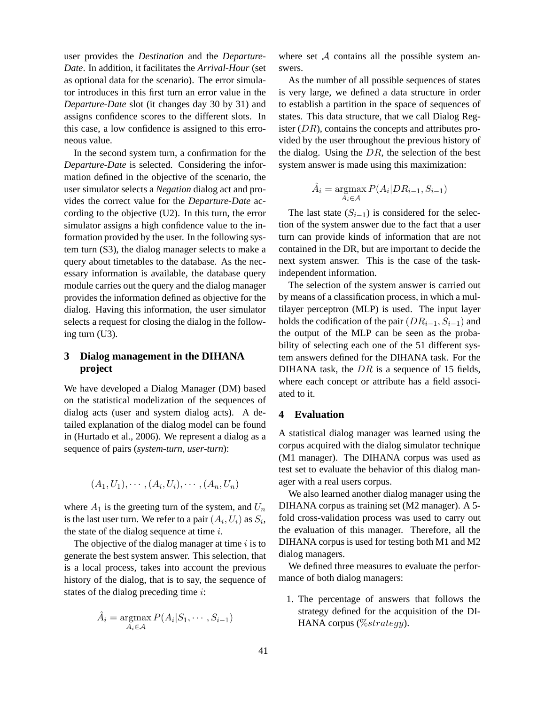user provides the *Destination* and the *Departure-Date*. In addition, it facilitates the *Arrival-Hour* (set as optional data for the scenario). The error simulator introduces in this first turn an error value in the *Departure-Date* slot (it changes day 30 by 31) and assigns confidence scores to the different slots. In this case, a low confidence is assigned to this erroneous value.

In the second system turn, a confirmation for the *Departure-Date* is selected. Considering the information defined in the objective of the scenario, the user simulator selects a *Negation* dialog act and provides the correct value for the *Departure-Date* according to the objective (U2). In this turn, the error simulator assigns a high confidence value to the information provided by the user. In the following system turn (S3), the dialog manager selects to make a query about timetables to the database. As the necessary information is available, the database query module carries out the query and the dialog manager provides the information defined as objective for the dialog. Having this information, the user simulator selects a request for closing the dialog in the following turn (U3).

# **3 Dialog management in the DIHANA project**

We have developed a Dialog Manager (DM) based on the statistical modelization of the sequences of dialog acts (user and system dialog acts). A detailed explanation of the dialog model can be found in (Hurtado et al., 2006). We represent a dialog as a sequence of pairs (*system-turn, user-turn*):

$$
(A_1, U_1), \cdots, (A_i, U_i), \cdots, (A_n, U_n)
$$

where  $A_1$  is the greeting turn of the system, and  $U_n$ is the last user turn. We refer to a pair  $(A_i, U_i)$  as  $S_i$ , the state of the dialog sequence at time  $i$ .

The objective of the dialog manager at time  $i$  is to generate the best system answer. This selection, that is a local process, takes into account the previous history of the dialog, that is to say, the sequence of states of the dialog preceding time i:

$$
\hat{A}_i = \operatorname*{argmax}_{A_i \in \mathcal{A}} P(A_i | S_1, \cdots, S_{i-1})
$$

where set  $A$  contains all the possible system answers.

As the number of all possible sequences of states is very large, we defined a data structure in order to establish a partition in the space of sequences of states. This data structure, that we call Dialog Register  $(DR)$ , contains the concepts and attributes provided by the user throughout the previous history of the dialog. Using the  $DR$ , the selection of the best system answer is made using this maximization:

$$
\hat{A}_i = \operatorname*{argmax}_{A_i \in \mathcal{A}} P(A_i | DR_{i-1}, S_{i-1})
$$

The last state  $(S_{i-1})$  is considered for the selection of the system answer due to the fact that a user turn can provide kinds of information that are not contained in the DR, but are important to decide the next system answer. This is the case of the taskindependent information.

The selection of the system answer is carried out by means of a classification process, in which a multilayer perceptron (MLP) is used. The input layer holds the codification of the pair  $(DR_{i-1}, S_{i-1})$  and the output of the MLP can be seen as the probability of selecting each one of the 51 different system answers defined for the DIHANA task. For the DIHANA task, the  $DR$  is a sequence of 15 fields, where each concept or attribute has a field associated to it.

#### **4 Evaluation**

A statistical dialog manager was learned using the corpus acquired with the dialog simulator technique (M1 manager). The DIHANA corpus was used as test set to evaluate the behavior of this dialog manager with a real users corpus.

We also learned another dialog manager using the DIHANA corpus as training set (M2 manager). A 5 fold cross-validation process was used to carry out the evaluation of this manager. Therefore, all the DIHANA corpus is used for testing both M1 and M2 dialog managers.

We defined three measures to evaluate the performance of both dialog managers:

1. The percentage of answers that follows the strategy defined for the acquisition of the DI-HANA corpus  $(\%strategy).$